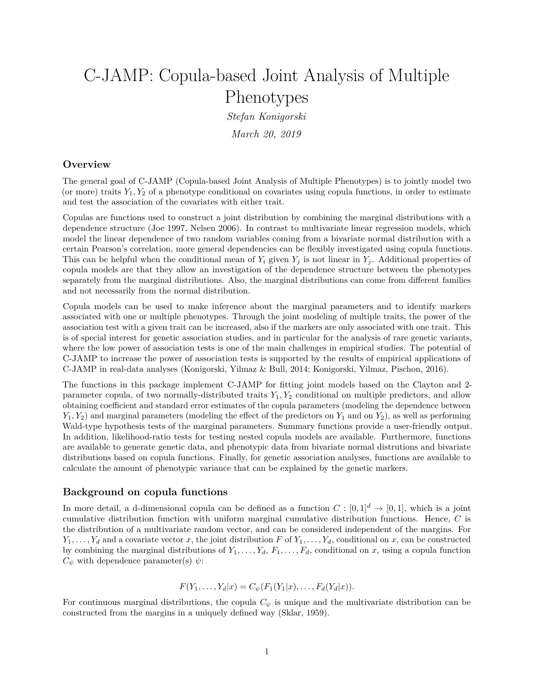# C-JAMP: Copula-based Joint Analysis of Multiple Phenotypes

*Stefan Konigorski March 20, 2019*

# **Overview**

The general goal of C-JAMP (Copula-based Joint Analysis of Multiple Phenotypes) is to jointly model two (or more) traits  $Y_1, Y_2$  of a phenotype conditional on covariates using copula functions, in order to estimate and test the association of the covariates with either trait.

Copulas are functions used to construct a joint distribution by combining the marginal distributions with a dependence structure (Joe 1997, Nelsen 2006). In contrast to multivariate linear regression models, which model the linear dependence of two random variables coming from a bivariate normal distribution with a certain Pearson's correlation, more general dependencies can be flexibly investigated using copula functions. This can be helpful when the conditional mean of  $Y_i$  given  $Y_j$  is not linear in  $Y_j$ . Additional properties of copula models are that they allow an investigation of the dependence structure between the phenotypes separately from the marginal distributions. Also, the marginal distributions can come from different families and not necessarily from the normal distribution.

Copula models can be used to make inference about the marginal parameters and to identify markers associated with one or multiple phenotypes. Through the joint modeling of multiple traits, the power of the association test with a given trait can be increased, also if the markers are only associated with one trait. This is of special interest for genetic association studies, and in particular for the analysis of rare genetic variants, where the low power of association tests is one of the main challenges in empirical studies. The potential of C-JAMP to increase the power of association tests is supported by the results of empirical applications of C-JAMP in real-data analyses (Konigorski, Yilmaz & Bull, 2014; Konigorski, Yilmaz, Pischon, 2016).

The functions in this package implement C-JAMP for fitting joint models based on the Clayton and 2 parameter copula, of two normally-distributed traits *Y*1*, Y*<sup>2</sup> conditional on multiple predictors, and allow obtaining coefficient and standard error estimates of the copula parameters (modeling the dependence between  $Y_1, Y_2$  and marginal parameters (modeling the effect of the predictors on  $Y_1$  and on  $Y_2$ ), as well as performing Wald-type hypothesis tests of the marginal parameters. Summary functions provide a user-friendly output. In addition, likelihood-ratio tests for testing nested copula models are available. Furthermore, functions are available to generate genetic data, and phenotypic data from bivariate normal distrutions and bivariate distributions based on copula functions. Finally, for genetic association analyses, functions are available to calculate the amount of phenotypic variance that can be explained by the genetic markers.

# **Background on copula functions**

In more detail, a d-dimensional copula can be defined as a function  $C : [0,1]^d \rightarrow [0,1]$ , which is a joint cumulative distribution function with uniform marginal cumulative distribution functions. Hence, *C* is the distribution of a multivariate random vector, and can be considered independent of the margins. For  $Y_1, \ldots, Y_d$  and a covariate vector *x*, the joint distribution *F* of  $Y_1, \ldots, Y_d$ , conditional on *x*, can be constructed by combining the marginal distributions of  $Y_1, \ldots, Y_d, F_1, \ldots, F_d$ , conditional on *x*, using a copula function  $C_{\psi}$  with dependence parameter(s)  $\psi$ :

$$
F(Y_1, ..., Y_d | x) = C_{\psi}(F_1(Y_1 | x), ..., F_d(Y_d | x)).
$$

For continuous marginal distributions, the copula *C<sup>ψ</sup>* is unique and the multivariate distribution can be constructed from the margins in a uniquely defined way (Sklar, 1959).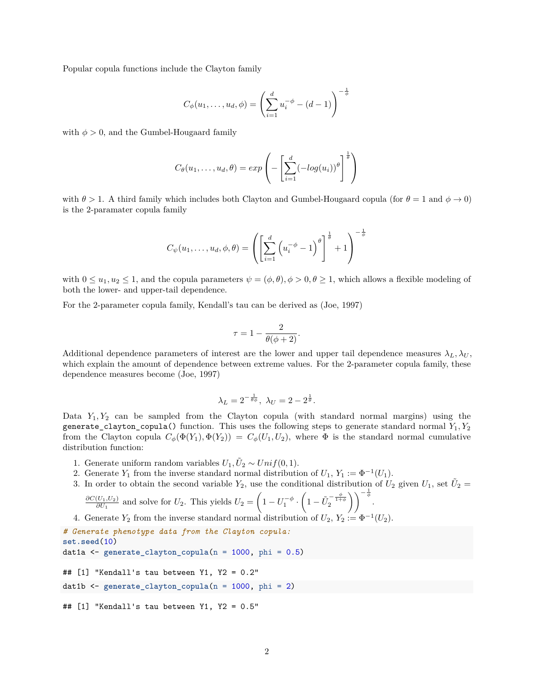Popular copula functions include the Clayton family

$$
C_{\phi}(u_1, \dots, u_d, \phi) = \left(\sum_{i=1}^d u_i^{-\phi} - (d-1)\right)^{-\frac{1}{\phi}}
$$

with  $\phi > 0$ , and the Gumbel-Hougaard family

$$
C_{\theta}(u_1,\ldots,u_d,\theta) = exp\left(-\left[\sum_{i=1}^d (-log(u_i))^{\theta}\right]^{\frac{1}{\theta}}\right)
$$

with  $\theta > 1$ . A third family which includes both Clayton and Gumbel-Hougaard copula (for  $\theta = 1$  and  $\phi \rightarrow 0$ ) is the 2-paramater copula family

$$
C_{\psi}(u_1,\ldots,u_d,\phi,\theta) = \left(\left[\sum_{i=1}^d \left(u_i^{-\phi}-1\right)^{\theta}\right]^{\frac{1}{\theta}}+1\right)^{-\frac{1}{\phi}}
$$

with  $0 \leq u_1, u_2 \leq 1$ , and the copula parameters  $\psi = (\phi, \theta), \phi > 0, \theta \geq 1$ , which allows a flexible modeling of both the lower- and upper-tail dependence.

For the 2-parameter copula family, Kendall's tau can be derived as (Joe, 1997)

$$
\tau = 1 - \frac{2}{\theta(\phi + 2)}.
$$

Additional dependence parameters of interest are the lower and upper tail dependence measures  $\lambda_L, \lambda_U$ , which explain the amount of dependence between extreme values. For the 2-parameter copula family, these dependence measures become (Joe, 1997)

$$
\lambda_L = 2^{-\frac{1}{\theta \phi}}, \lambda_U = 2 - 2^{\frac{1}{\theta}}.
$$

Data  $Y_1, Y_2$  can be sampled from the Clayton copula (with standard normal margins) using the generate\_clayton\_copula() function. This uses the following steps to generate standard normal *Y*1*, Y*<sup>2</sup> from the Clayton copula  $C_{\phi}(\Phi(Y_1), \Phi(Y_2)) = C_{\phi}(U_1, U_2)$ , where  $\Phi$  is the standard normal cumulative distribution function:

- 1. Generate uniform random variables  $U_1, \tilde{U}_2 \sim Unif(0,1)$ .
- 2. Generate  $Y_1$  from the inverse standard normal distribution of  $U_1, Y_1 := \Phi^{-1}(U_1)$ .
- 3. In order to obtain the second variable  $Y_2$ , use the conditional distribution of  $U_2$  given  $U_1$ , set  $\tilde{U}_2$  $\sqrt{2}$

$$
\frac{\partial C(U_1, U_2)}{\partial U_1}
$$
 and solve for  $U_2$ . This yields  $U_2 = \left(1 - U_1^{-\phi} \cdot \left(1 - \tilde{U}_2^{-\frac{\phi}{1+\phi}}\right)\right)^{-\frac{1}{\phi}}$ .  
Convert *V* from the inverse integral around distribution of  $U_1, V_2, \phi^{-1}$ .

4. Generate  $Y_2$  from the inverse standard normal distribution of  $U_2$ ,  $Y_2 := \Phi^{-1}(U_2)$ .

```
# Generate phenotype data from the Clayton copula:
set.seed(10)
dat1a <- generate_clayton_copula(n = 1000, phi = 0.5)
## [1] "Kendall's tau between Y1, Y2 = 0.2"
dat1b <- generate_clayton_copula(n = 1000, phi = 2)
## [1] "Kendall's tau between Y1, Y2 = 0.5"
```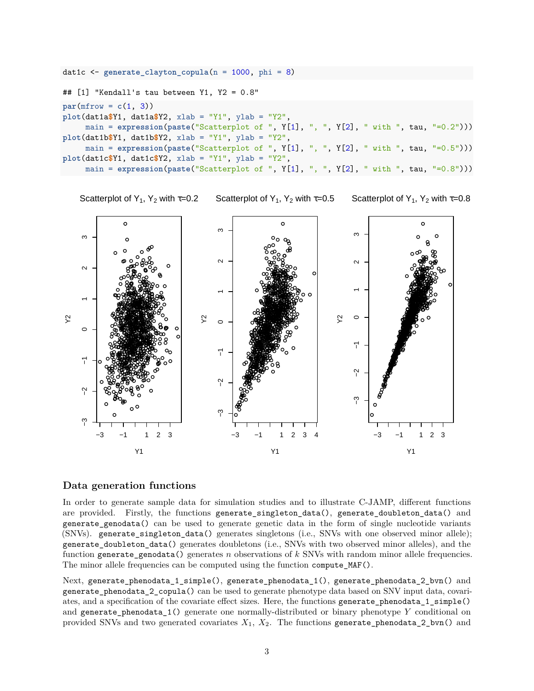```
dat1c <- generate_clayton_copula(n = 1000, phi = 8)
## [1] "Kendall's tau between Y1, Y2 = 0.8"
par(mfrow = c(1, 3))plot(dat1a$Y1, dat1a$Y2, xlab = "Y1", ylab = "Y2",
     main = expression(paste("Scatterplot of ", Y[1], ", ", Y[2], " with ", tau,
plot(dat1b$Y1, dat1b$Y2, xlab = "Y1", ylab = "Y2",
     main = expression(paste("Scatterplot of ", Y[1], ", ", Y[2], " with ", tau, "=0.5")))
plot(dat1c$Y1, dat1c$Y2, xlab = "Y1", ylab = "Y2",
     main = expression(paste("Scatterplot of ", Y[1], ", ", Y[2], " with ", tau, "=0.8")))
```


Scatterplot of  $Y_1$ ,  $Y_2$  with  $\tau=0.2$ 

Scatterplot of  $Y_1$ ,  $Y_2$  with  $\tau=0.5$ 

Scatterplot of Y<sub>1</sub>, Y<sub>2</sub> with  $\tau$ =0.8

#### **Data generation functions**

In order to generate sample data for simulation studies and to illustrate C-JAMP, different functions are provided. Firstly, the functions generate\_singleton\_data(), generate\_doubleton\_data() and generate\_genodata() can be used to generate genetic data in the form of single nucleotide variants (SNVs). generate singleton data() generates singletons (i.e., SNVs with one observed minor allele); generate\_doubleton\_data() generates doubletons (i.e., SNVs with two observed minor alleles), and the function generate\_genodata() generates *n* observations of *k* SNVs with random minor allele frequencies. The minor allele frequencies can be computed using the function compute\_MAF().

Next, generate\_phenodata\_1\_simple(), generate\_phenodata\_1(), generate\_phenodata\_2\_bvn() and generate\_phenodata\_2\_copula() can be used to generate phenotype data based on SNV input data, covariates, and a specification of the covariate effect sizes. Here, the functions generate\_phenodata\_1\_simple() and generate\_phenodata\_1() generate one normally-distributed or binary phenotype *Y* conditional on provided SNVs and two generated covariates *X*1, *X*2. The functions generate\_phenodata\_2\_bvn() and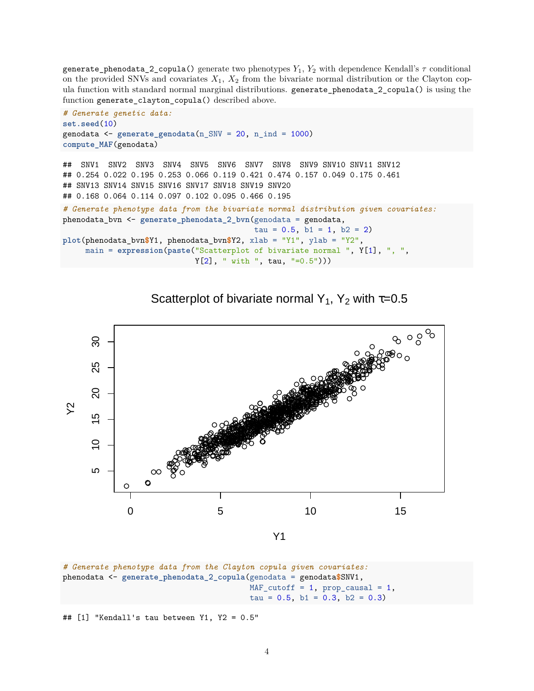generate\_phenodata\_2\_copula() generate two phenotypes *Y*1, *Y*<sup>2</sup> with dependence Kendall's *τ* conditional on the provided SNVs and covariates  $X_1, X_2$  from the bivariate normal distribution or the Clayton copula function with standard normal marginal distributions. generate\_phenodata\_2\_copula() is using the function generate\_clayton\_copula() described above.

```
# Generate genetic data:
set.seed(10)
genodata <- generate_genodata(n_SNV = 20, n_ind = 1000)
compute_MAF(genodata)
## SNV1 SNV2 SNV3 SNV4 SNV5 SNV6 SNV7 SNV8 SNV9 SNV10 SNV11 SNV12
## 0.254 0.022 0.195 0.253 0.066 0.119 0.421 0.474 0.157 0.049 0.175 0.461
## SNV13 SNV14 SNV15 SNV16 SNV17 SNV18 SNV19 SNV20
## 0.168 0.064 0.114 0.097 0.102 0.095 0.466 0.195
# Generate phenotype data from the bivariate normal distribution given covariates:
phenodata_bvn <- generate_phenodata_2_bvn(genodata = genodata,
                                          tau = 0.5, b1 = 1, b2 = 2)
plot(phenodata_bvn$Y1, phenodata_bvn$Y2, xlab = "Y1", ylab = "Y2",
     main = expression(paste("Scatterplot of bivariate normal ", Y[1], ", ",
                            Y[2], " with ", tau, "=0.5")))
```
Scatterplot of bivariate normal Y<sub>1</sub>, Y<sub>2</sub> with  $\tau$ =0.5



```
# Generate phenotype data from the Clayton copula given covariates:
phenodata <- generate_phenodata_2_copula(genodata = genodata$SNV1,
                                         MAF_cutoff = 1, prop_causal = 1,tau = 0.5, b1 = 0.3, b2 = 0.3)
```
## [1] "Kendall's tau between Y1, Y2 = 0.5"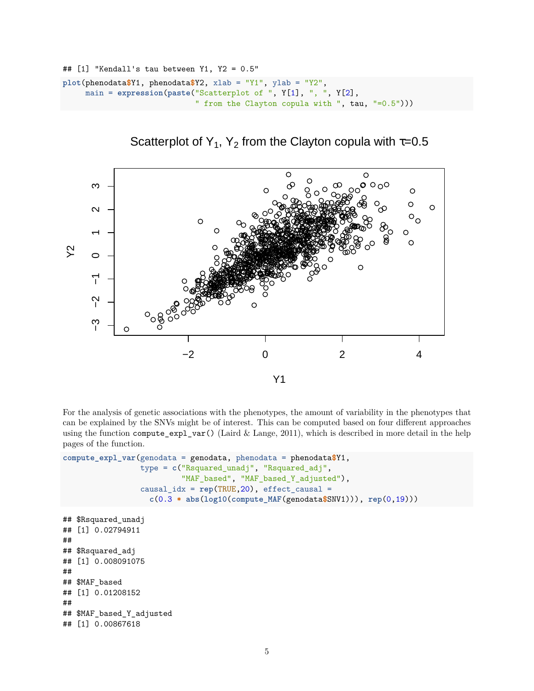```
## [1] "Kendall's tau between Y1, Y2 = 0.5"
plot(phenodata$Y1, phenodata$Y2, xlab = "Y1", ylab = "Y2",
     main = expression(paste("Scatterplot of ", Y[1], ", ", Y[2],
                             " from the Clayton copula with ", tau, "=0.5")))
```


Scatterplot of Y<sub>1</sub>, Y<sub>2</sub> from the Clayton copula with  $\tau$ =0.5

For the analysis of genetic associations with the phenotypes, the amount of variability in the phenotypes that can be explained by the SNVs might be of interest. This can be computed based on four different approaches using the function compute\_expl\_var() (Laird  $\&$  Lange, 2011), which is described in more detail in the help pages of the function.

```
compute_expl_var(genodata = genodata, phenodata = phenodata$Y1,
                 type = c("Rsquared_unadj", "Rsquared_adj",
                          "MAF_based", "MAF_based_Y_adjusted"),
                 causal_idx = rep(TRUE,20), effect_causal =
                   c(0.3 * abs(log10(compute_MAF(genodata$SNV1))), rep(0,19)))
```

```
## $Rsquared_unadj
## [1] 0.02794911
##
## $Rsquared_adj
## [1] 0.008091075
##
## $MAF_based
## [1] 0.01208152
##
## $MAF_based_Y_adjusted
## [1] 0.00867618
```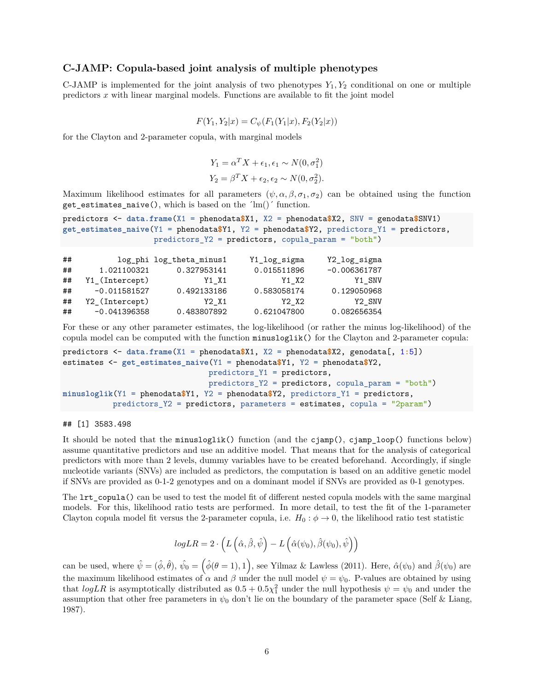### **C-JAMP: Copula-based joint analysis of multiple phenotypes**

C-JAMP is implemented for the joint analysis of two phenotypes  $Y_1, Y_2$  conditional on one or multiple predictors *x* with linear marginal models. Functions are available to fit the joint model

$$
F(Y_1, Y_2|x) = C_{\psi}(F_1(Y_1|x), F_2(Y_2|x))
$$

for the Clayton and 2-parameter copula, with marginal models

$$
Y_1 = \alpha^T X + \epsilon_1, \epsilon_1 \sim N(0, \sigma_1^2)
$$
  

$$
Y_2 = \beta^T X + \epsilon_2, \epsilon_2 \sim N(0, \sigma_2^2).
$$

Maximum likelihood estimates for all parameters  $(\psi, \alpha, \beta, \sigma_1, \sigma_2)$  can be obtained using the function get estimates naive(), which is based on the  $\langle lm(')'$  function.

```
predictors <- data.frame(X1 = phenodata$X1, X2 = phenodata$X2, SNV = genodata$SNV1)
get_estimates_naive(Y1 = phenodata$Y1, Y2 = phenodata$Y2, predictors_Y1 = predictors,
                    predictors_Y2 = predictors, copula_param = "both")
```

| ## |                | log_phi log_theta_minus1 | Y1_log_sigma | Y2_log_sigma   |
|----|----------------|--------------------------|--------------|----------------|
| ## | 1.021100321    | 0.327953141              | 0.015511896  | $-0.006361787$ |
| ## | Y1_(Intercept) | Y1 X1                    | Y1 X2        | Y1 SNV         |
| ## | $-0.011581527$ | 0.492133186              | 0.583058174  | 0.129050968    |
| ## | Y2_(Intercept) | Y2 X1                    | Y2 X2        | Y2 SNV         |
| ## | $-0.041396358$ | 0.483807892              | 0.621047800  | 0.082656354    |

For these or any other parameter estimates, the log-likelihood (or rather the minus log-likelihood) of the copula model can be computed with the function minusloglik() for the Clayton and 2-parameter copula:

```
predictors <- data.frame(X1 = phenodata$X1, X2 = phenodata$X2, genodata[, 1:5])
estimates <- get_estimates_naive(Y1 = phenodata$Y1, Y2 = phenodata$Y2,
                                predictors_Y1 = predictors,
                                predictors_Y2 = predictors, copula_param = "both")
minusloglik(Y1 = phenodata$Y1, Y2 = phenodata$Y2, predictors_Y1 = predictors,
           predictors_Y2 = predictors, parameters = estimates, copula = "2param")
```
#### ## [1] 3583.498

It should be noted that the minusloglik() function (and the  $\text{ciam}()$ ,  $\text{ciam}()$  functions below) assume quantitative predictors and use an additive model. That means that for the analysis of categorical predictors with more than 2 levels, dummy variables have to be created beforehand. Accordingly, if single nucleotide variants (SNVs) are included as predictors, the computation is based on an additive genetic model if SNVs are provided as 0-1-2 genotypes and on a dominant model if SNVs are provided as 0-1 genotypes.

The **Lrt** copula() can be used to test the model fit of different nested copula models with the same marginal models. For this, likelihood ratio tests are performed. In more detail, to test the fit of the 1-parameter Clayton copula model fit versus the 2-parameter copula, i.e.  $H_0: \phi \to 0$ , the likelihood ratio test statistic

$$
logLR = 2 \cdot \left( L\left(\hat{\alpha}, \hat{\beta}, \hat{\psi}\right) - L\left(\hat{\alpha}(\psi_0), \hat{\beta}(\psi_0), \hat{\psi}\right) \right)
$$

can be used, where  $\hat{\psi} = (\hat{\phi}, \hat{\theta}), \hat{\psi}_0 = (\hat{\phi}(\theta = 1), 1)$ , see Yilmaz & Lawless (2011). Here,  $\hat{\alpha}(\psi_0)$  and  $\hat{\beta}(\psi_0)$  are the maximum likelihood estimates of  $\alpha$  and  $\beta$  under the null model  $\psi = \psi_0$ . P-values are obtained by using that  $logLR$  is asymptotically distributed as  $0.5 + 0.5\chi_1^2$  under the null hypothesis  $\psi = \psi_0$  and under the assumption that other free parameters in  $\psi_0$  don't lie on the boundary of the parameter space (Self & Liang, 1987).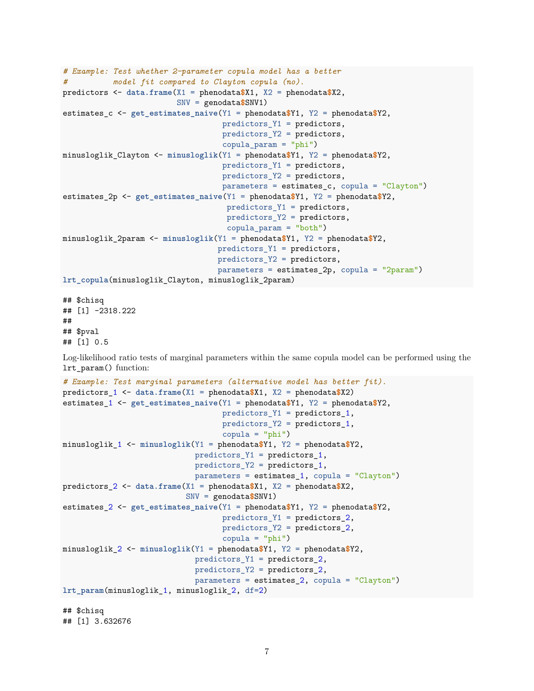```
# Example: Test whether 2-parameter copula model has a better
# model fit compared to Clayton copula (no).
predictors <- data.frame(X1 = phenodata$X1, X2 = phenodata$X2,
                         SNV = genodata$SNV1)
estimates_c <- get_estimates_naive(Y1 = phenodata$Y1, Y2 = phenodata$Y2,
                                   predictors_Y1 = predictors,
                                   predictors_Y2 = predictors,
                                   copula_param = "phi")
minusloglik_Clayton <- minusloglik(Y1 = phenodata$Y1, Y2 = phenodata$Y2,
                                   predictors_Y1 = predictors,
                                   predictors_Y2 = predictors,
                                   parameters = estimates_c, copula = "Clayton")
estimates_2p <- get_estimates_naive(Y1 = phenodata$Y1, Y2 = phenodata$Y2,
                                    predictors_Y1 = predictors,
                                    predictors_Y2 = predictors,
                                    copula param = "both")
minusloglik_2param <- minusloglik(Y1 = phenodata$Y1, Y2 = phenodata$Y2,
                                  predictors_Y1 = predictors,
                                  predictors_Y2 = predictors,
                                  parameters = estimates_2p, copula = "2param")
lrt_copula(minusloglik_Clayton, minusloglik_2param)
```
## \$chisq ## [1] -2318.222 ## ## \$pval ## [1] 0.5

Log-likelihood ratio tests of marginal parameters within the same copula model can be performed using the lrt\_param() function:

```
# Example: Test marginal parameters (alternative model has better fit).
predictors_1 <- data.frame(X1 = phenodata$X1, X2 = phenodata$X2)
estimates_1 <- get_estimates_naive(Y1 = phenodata$Y1, Y2 = phenodata$Y2,
                                   predictors_Y1 = predictors_1,
                                   predictors_Y2 = predictors_1,
                                   copula = "phi")
minusloglik_1 <- minusloglik(Y1 = phenodata$Y1, Y2 = phenodata$Y2,
                             predictors_Y1 = predictors_1,
                             predictors_Y2 = predictors_1,
                             parameters = estimates_1, copula = "Clayton")
predictors_2 <- data.frame(X1 = phenodata$X1, X2 = phenodata$X2,
                           SNV = genodata$SNV1)
estimates_2 <- get_estimates_naive(Y1 = phenodata$Y1, Y2 = phenodata$Y2,
                                   predictors_Y1 = predictors_2,
                                   predictors_Y2 = predictors_2,
                                   copula = "phi")minusloglik_2 <- minusloglik(Y1 = phenodata$Y1, Y2 = phenodata$Y2,
                             predictors_Y1 = predictors_2,
                             predictors_Y2 = predictors_2,
                             parameters = estimates_2, copula = "Clayton")
lrt_param(minusloglik_1, minusloglik_2, df=2)
## $chisq
```

```
## [1] 3.632676
```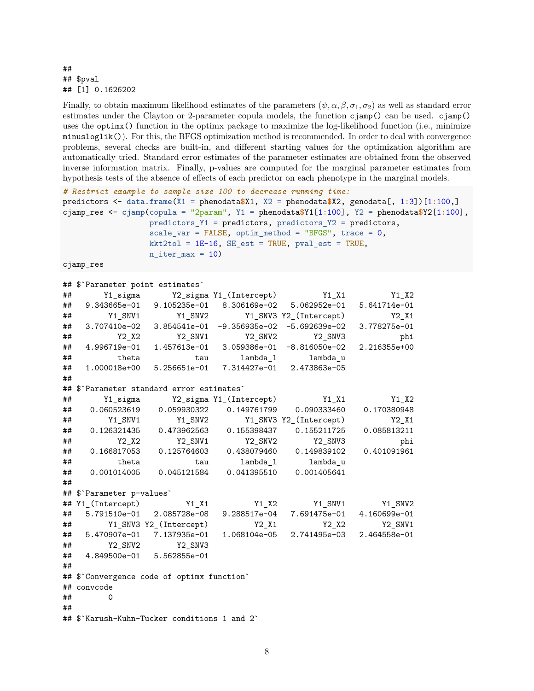#### ## ## \$pval ## [1] 0.1626202

Finally, to obtain maximum likelihood estimates of the parameters  $(\psi, \alpha, \beta, \sigma_1, \sigma_2)$  as well as standard error estimates under the Clayton or 2-parameter copula models, the function cjamp() can be used. cjamp() uses the optimx() function in the optimx package to maximize the log-likelihood function (i.e., minimize minusloglik()). For this, the BFGS optimization method is recommended. In order to deal with convergence problems, several checks are built-in, and different starting values for the optimization algorithm are automatically tried. Standard error estimates of the parameter estimates are obtained from the observed inverse information matrix. Finally, p-values are computed for the marginal parameter estimates from hypothesis tests of the absence of effects of each predictor on each phenotype in the marginal models.

```
# Restrict example to sample size 100 to decrease running time:
predictors <- data.frame(X1 = phenodata$X1, X2 = phenodata$X2, genodata[, 1:3])[1:100,]
cjamp_res <- cjamp(copula = "2param", Y1 = phenodata$Y1[1:100], Y2 = phenodata$Y2[1:100],
               predictors_Y1 = predictors, predictors_Y2 = predictors,
               scale\_var = FALSE, optim_method = "BFGS", trace = 0,
               kkt2tol = 1E-16, SE\_est = TRUE, pval\_est = TRUE,
               n<sub>_iter_max</sub> = 10)
cjamp_res
## $`Parameter point estimates`
## Y1_sigma Y2_sigma Y1_(Intercept) Y1_X1 Y1_X2
## 9.343665e-01 9.105235e-01 8.306169e-02 5.062952e-01 5.641714e-01
## Y1_SNV1 Y1_SNV2 Y1_SNV3 Y2_(Intercept) Y2_X1
## 3.707410e-02 3.854541e-01 -9.356935e-02 -5.692639e-02 3.778275e-01
## Y2_X2 Y2_SNV1 Y2_SNV2 Y2_SNV3 phi
## 4.996719e-01 1.457613e-01 3.059386e-01 -8.816050e-02 2.216355e+00
## theta tau lambda_l lambda_u
## 1.000018e+00 5.256651e-01 7.314427e-01 2.473863e-05
##
## $`Parameter standard error estimates`
## Y1_sigma Y2_sigma Y1_(Intercept) Y1_X1 Y1_X2
## 0.060523619 0.059930322 0.149761799 0.090333460 0.170380948
## Y1_SNV1 Y1_SNV2 Y1_SNV3 Y2_(Intercept) Y2_X1
## 0.126321435 0.473962563 0.155398437 0.155211725 0.085813211
## Y2_X2 Y2_SNV1 Y2_SNV2 Y2_SNV3 phi
## 0.166817053 0.125764603 0.438079460 0.149839102 0.401091961
## theta tau lambda_l lambda_u
## 0.001014005 0.045121584 0.041395510 0.001405641
##
## $`Parameter p-values`
## Y1_(Intercept) Y1_X1 Y1_X2 Y1_SNV1 Y1_SNV2
## 5.791510e-01 2.085728e-08 9.288517e-04 7.691475e-01 4.160699e-01
## Y1_SNV3 Y2_(Intercept) Y2_X1 Y2_X2 Y2_SNV1
## 5.470907e-01 7.137935e-01 1.068104e-05 2.741495e-03 2.464558e-01
## Y2_SNV2 Y2_SNV3
## 4.849500e-01 5.562855e-01
##
## $`Convergence code of optimx function`
## convcode
## 0
##
```

```
8
```
## \$`Karush-Kuhn-Tucker conditions 1 and 2`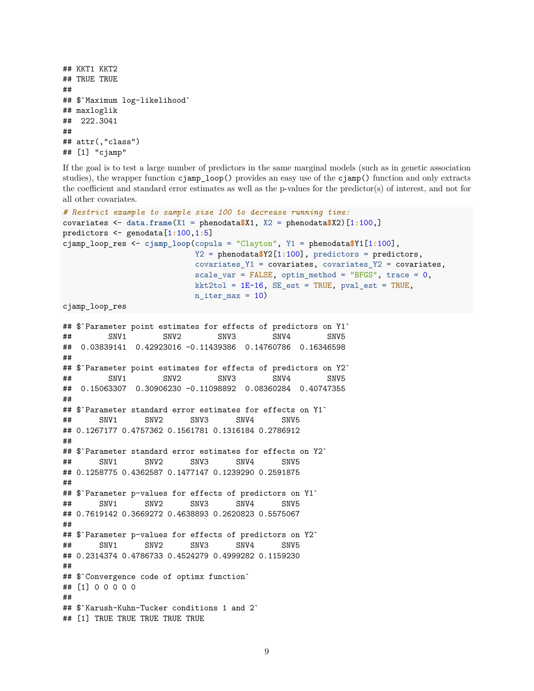```
## KKT1 KKT2
## TRUE TRUE
##
## $`Maximum log-likelihood`
## maxloglik
## 222.3041
##
## attr(,"class")
## [1] "cjamp"
```
If the goal is to test a large number of predictors in the same marginal models (such as in genetic association studies), the wrapper function cjamp\_loop() provides an easy use of the cjamp() function and only extracts the coefficient and standard error estimates as well as the p-values for the predictor(s) of interest, and not for all other covariates.

```
# Restrict example to sample size 100 to decrease running time:
covariates <- data.frame(X1 = phenodata$X1, X2 = phenodata$X2)[1:100,]
predictors <- genodata[1:100,1:5]
cjamp_loop_res <- cjamp_loop(copula = "Clayton", Y1 = phenodata$Y1[1:100],
                              Y2 = phenodata$Y2[1:100], predictors = predictors,
                              covariates_Y1 = covariates, covariates_Y2 = covariates,scale\_var = FALSE, optimum\_method = "BFGS", trace = 0,kkt2tol = 1E-16, SE\_est = TRUE, pval\_est = TRUE,
                              n<sub>_iter_max</sub> = 10)
```
cjamp\_loop\_res

```
## $`Parameter point estimates for effects of predictors on Y1`
## SNV1 SNV2 SNV3 SNV4 SNV5
## 0.03839141 0.42923016 -0.11439386 0.14760786 0.16346598
##
## $`Parameter point estimates for effects of predictors on Y2`
## SNV1 SNV2 SNV3 SNV4 SNV5
## 0.15063307 0.30906230 -0.11098892 0.08360284 0.40747355
##
## $`Parameter standard error estimates for effects on Y1`
## SNV1 SNV2 SNV3 SNV4 SNV5
## 0.1267177 0.4757362 0.1561781 0.1316184 0.2786912
##
## $`Parameter standard error estimates for effects on Y2`
## SNV1 SNV2 SNV3 SNV4 SNV5
## 0.1258775 0.4362587 0.1477147 0.1239290 0.2591875
##
## $`Parameter p-values for effects of predictors on Y1`
## SNV1 SNV2 SNV3 SNV4 SNV5
## 0.7619142 0.3669272 0.4638893 0.2620823 0.5575067
##
## $`Parameter p-values for effects of predictors on Y2`
## SNV1 SNV2 SNV3 SNV4 SNV5
## 0.2314374 0.4786733 0.4524279 0.4999282 0.1159230
##
## $`Convergence code of optimx function`
## [1] 0 0 0 0 0
##
## $`Karush-Kuhn-Tucker conditions 1 and 2`
## [1] TRUE TRUE TRUE TRUE TRUE
```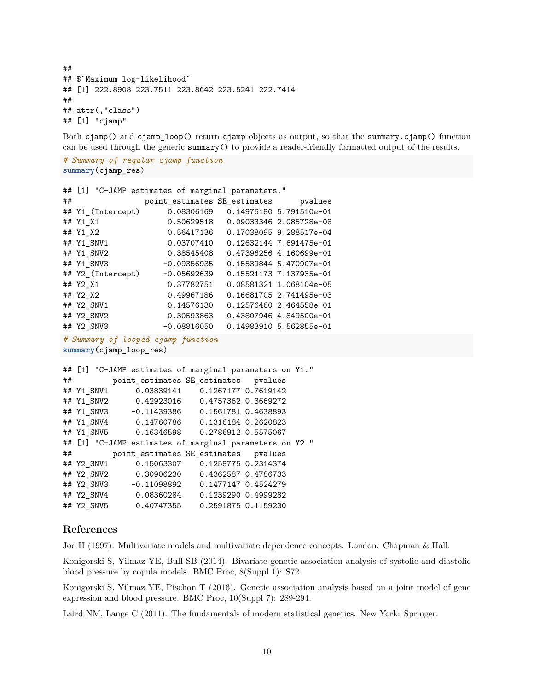## ## \$`Maximum log-likelihood` ## [1] 222.8908 223.7511 223.8642 223.5241 222.7414 ## ## attr(,"class") ## [1] "cjamp"

Both cjamp() and cjamp\_loop() return cjamp objects as output, so that the summary.cjamp() function can be used through the generic summary() to provide a reader-friendly formatted output of the results.

```
# Summary of regular cjamp function
summary(cjamp_res)
```

```
## [1] "C-JAMP estimates of marginal parameters."
## point_estimates SE_estimates pvalues
## Y1_(Intercept) 0.08306169 0.14976180 5.791510e-01
## Y1_X1 0.50629518 0.09033346 2.085728e-08
## Y1_X2 0.56417136 0.17038095 9.288517e-04
## Y1_SNV1 0.03707410 0.12632144 7.691475e-01
## Y1_SNV2 0.38545408 0.47396256 4.160699e-01
## Y1_SNV3 -0.09356935 0.15539844 5.470907e-01
## Y2_(Intercept) -0.05692639 0.15521173 7.137935e-01
## Y2_X1 0.37782751 0.08581321 1.068104e-05
## Y2_X2 0.49967186 0.16681705 2.741495e-03
## Y2_SNV1 0.14576130 0.12576460 2.464558e-01
## Y2_SNV2 0.30593863 0.43807946 4.849500e-01
## Y2_SNV3 -0.08816050 0.14983910 5.562855e-01
```

```
# Summary of looped cjamp function
```

```
summary(cjamp_loop_res)
```

```
## [1] "C-JAMP estimates of marginal parameters on Y1."
## point_estimates SE_estimates pvalues
## Y1_SNV1 0.03839141 0.1267177 0.7619142
## Y1_SNV2 0.42923016 0.4757362 0.3669272
## Y1_SNV3 -0.11439386 0.1561781 0.4638893
## Y1_SNV4 0.14760786 0.1316184 0.2620823
## Y1_SNV5 0.16346598 0.2786912 0.5575067
## [1] "C-JAMP estimates of marginal parameters on Y2."
## point_estimates SE_estimates pvalues
## Y2_SNV1 0.15063307 0.1258775 0.2314374
## Y2_SNV2 0.30906230 0.4362587 0.4786733
## Y2_SNV3 -0.11098892 0.1477147 0.4524279
## Y2_SNV4 0.08360284 0.1239290 0.4999282
## Y2_SNV5 0.40747355 0.2591875 0.1159230
```
# **References**

Joe H (1997). Multivariate models and multivariate dependence concepts. London: Chapman & Hall.

Konigorski S, Yilmaz YE, Bull SB (2014). Bivariate genetic association analysis of systolic and diastolic blood pressure by copula models. BMC Proc, 8(Suppl 1): S72.

Konigorski S, Yilmaz YE, Pischon T (2016). Genetic association analysis based on a joint model of gene expression and blood pressure. BMC Proc, 10(Suppl 7): 289-294.

Laird NM, Lange C (2011). The fundamentals of modern statistical genetics. New York: Springer.